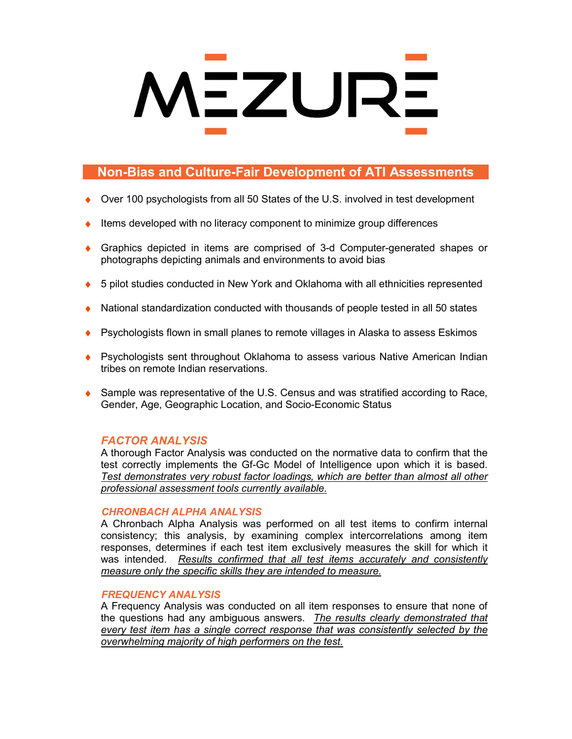# **MEZURE**

# **Non-Bias and Culture-Fair Development of ATI Assessments**

- Over 100 psychologists from all 50 States of the U.S. involved in test development
- Items developed with no literacy component to minimize group differences
- Graphics depicted in items are comprised of 3-d Computer-generated shapes or photographs depicting animals and environments to avoid bias
- ◆ 5 pilot studies conducted in New York and Oklahoma with all ethnicities represented
- National standardization conducted with thousands of people tested in all 50 states
- Psychologists flown in small planes to remote villages in Alaska to assess Eskimos
- Psychologists sent throughout Oklahoma to assess various Native American Indian tribes on remote Indian reservations.
- Sample was representative of the U.S. Census and was stratified according to Race, Gender, Age, Geographic Location, and Socio-Economic Status

# *FACTOR ANALYSIS*

A thorough Factor Analysis was conducted on the normative data to confirm that the test correctly implements the Gf-Gc Model of Intelligence upon which it is based. *Test demonstrates very robust factor loadings, which are better than almost all other professional assessment tools currently available.*

# *CHRONBACH ALPHA ANALYSIS*

A Chronbach Alpha Analysis was performed on all test items to confirm internal consistency; this analysis, by examining complex intercorrelations among item responses, determines if each test item exclusively measures the skill for which it was intended. *Results confirmed that all test items accurately and consistently measure only the specific skills they are intended to measure.*

# *FREQUENCY ANALYSIS*

A Frequency Analysis was conducted on all item responses to ensure that none of the questions had any ambiguous answers. *The results clearly demonstrated that every test item has a single correct response that was consistently selected by the overwhelming majority of high performers on the test.*